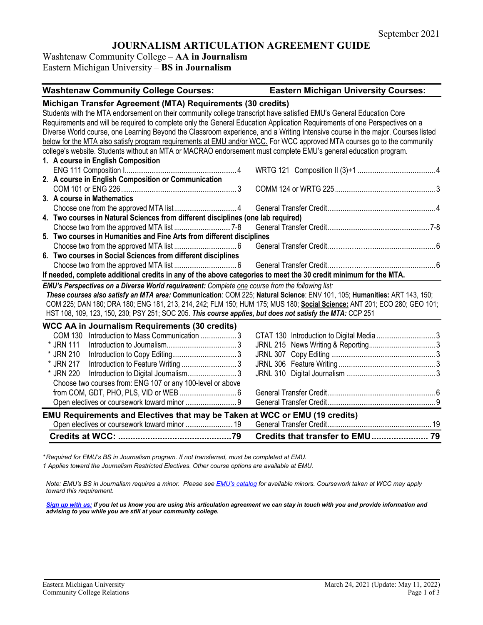# **JOURNALISM ARTICULATION AGREEMENT GUIDE**

Washtenaw Community College – **AA in Journalism** Eastern Michigan University – **BS in Journalism**

| <b>Washtenaw Community College Courses:</b>                                                                                                                                                                                                                                                                                                                                                                                                         | <b>Eastern Michigan University Courses:</b> |
|-----------------------------------------------------------------------------------------------------------------------------------------------------------------------------------------------------------------------------------------------------------------------------------------------------------------------------------------------------------------------------------------------------------------------------------------------------|---------------------------------------------|
| Michigan Transfer Agreement (MTA) Requirements (30 credits)<br>Students with the MTA endorsement on their community college transcript have satisfied EMU's General Education Core<br>Requirements and will be required to complete only the General Education Application Requirements of one Perspectives on a<br>Diverse World course, one Learning Beyond the Classroom experience, and a Writing Intensive course in the major. Courses listed |                                             |
|                                                                                                                                                                                                                                                                                                                                                                                                                                                     |                                             |
| below for the MTA also satisfy program requirements at EMU and/or WCC. For WCC approved MTA courses go to the community                                                                                                                                                                                                                                                                                                                             |                                             |
| college's website. Students without an MTA or MACRAO endorsement must complete EMU's general education program.                                                                                                                                                                                                                                                                                                                                     |                                             |
| 1. A course in English Composition                                                                                                                                                                                                                                                                                                                                                                                                                  |                                             |
|                                                                                                                                                                                                                                                                                                                                                                                                                                                     |                                             |
| 2. A course in English Composition or Communication                                                                                                                                                                                                                                                                                                                                                                                                 |                                             |
|                                                                                                                                                                                                                                                                                                                                                                                                                                                     |                                             |
| 3. A course in Mathematics                                                                                                                                                                                                                                                                                                                                                                                                                          |                                             |
| 4. Two courses in Natural Sciences from different disciplines (one lab required)                                                                                                                                                                                                                                                                                                                                                                    |                                             |
|                                                                                                                                                                                                                                                                                                                                                                                                                                                     |                                             |
| 5. Two courses in Humanities and Fine Arts from different disciplines                                                                                                                                                                                                                                                                                                                                                                               |                                             |
|                                                                                                                                                                                                                                                                                                                                                                                                                                                     |                                             |
| 6. Two courses in Social Sciences from different disciplines                                                                                                                                                                                                                                                                                                                                                                                        |                                             |
|                                                                                                                                                                                                                                                                                                                                                                                                                                                     |                                             |
| If needed, complete additional credits in any of the above categories to meet the 30 credit minimum for the MTA.                                                                                                                                                                                                                                                                                                                                    |                                             |
|                                                                                                                                                                                                                                                                                                                                                                                                                                                     |                                             |
| EMU's Perspectives on a Diverse World requirement: Complete one course from the following list:<br>These courses also satisfy an MTA area: Communication: COM 225; Natural Science: ENV 101, 105; Humanities: ART 143, 150;                                                                                                                                                                                                                         |                                             |
| COM 225; DAN 180; DRA 180; ENG 181, 213, 214, 242; FLM 150; HUM 175; MUS 180; Social Science: ANT 201; ECO 280; GEO 101;                                                                                                                                                                                                                                                                                                                            |                                             |
| HST 108, 109, 123, 150, 230; PSY 251; SOC 205. This course applies, but does not satisfy the MTA: CCP 251                                                                                                                                                                                                                                                                                                                                           |                                             |
|                                                                                                                                                                                                                                                                                                                                                                                                                                                     |                                             |
| <b>WCC AA in Journalism Requirements (30 credits)</b>                                                                                                                                                                                                                                                                                                                                                                                               |                                             |
| <b>COM 130</b><br>Introduction to Mass Communication 3                                                                                                                                                                                                                                                                                                                                                                                              |                                             |
| * JRN 111                                                                                                                                                                                                                                                                                                                                                                                                                                           |                                             |
| * JRN 210                                                                                                                                                                                                                                                                                                                                                                                                                                           |                                             |
| * JRN 217                                                                                                                                                                                                                                                                                                                                                                                                                                           |                                             |
| * JRN 220                                                                                                                                                                                                                                                                                                                                                                                                                                           |                                             |
| Choose two courses from: ENG 107 or any 100-level or above                                                                                                                                                                                                                                                                                                                                                                                          |                                             |
|                                                                                                                                                                                                                                                                                                                                                                                                                                                     |                                             |
|                                                                                                                                                                                                                                                                                                                                                                                                                                                     |                                             |
| EMU Requirements and Electives that may be Taken at WCC or EMU (19 credits)                                                                                                                                                                                                                                                                                                                                                                         |                                             |
|                                                                                                                                                                                                                                                                                                                                                                                                                                                     |                                             |
|                                                                                                                                                                                                                                                                                                                                                                                                                                                     |                                             |

*\* Required for EMU's BS in Journalism program. If not transferred, must be completed at EMU.* 

*1 Applies toward the Journalism Restricted Electives. Other course options are available at EMU.*

*Note: EMU's BS in Journalism requires a minor. Please see [EMU's catalog](https://catalog.emich.edu/content.php?catoid=32&navoid=6427) for available minors. Coursework taken at WCC may apply toward this requirement.* 

*[Sign up with us:](https://www.emich.edu/ccr/articulation-agreements/signup.php) If you let us know you are using this articulation agreement we can stay in touch with you and provide information and advising to you while you are still at your community college.*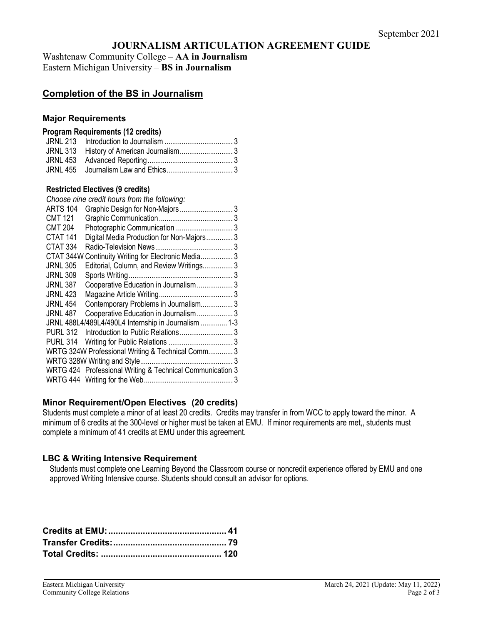## **JOURNALISM ARTICULATION AGREEMENT GUIDE**

Washtenaw Community College – **AA in Journalism** Eastern Michigan University – **BS in Journalism**

# **Completion of the BS in Journalism**

#### **Major Requirements**

#### **Program Requirements (12 credits)**

#### **Restricted Electives (9 credits)**

|                     | Choose nine credit hours from the following:              |  |
|---------------------|-----------------------------------------------------------|--|
| <b>ARTS 104</b>     |                                                           |  |
| <b>CMT 121</b>      |                                                           |  |
| <b>CMT 204</b>      |                                                           |  |
| CTAT <sub>141</sub> | Digital Media Production for Non-Majors 3                 |  |
| CTAT 334            |                                                           |  |
|                     | CTAT 344W Continuity Writing for Electronic Media 3       |  |
| <b>JRNL 305</b>     | Editorial, Column, and Review Writings 3                  |  |
| <b>JRNL 309</b>     |                                                           |  |
| <b>JRNL 387</b>     | Cooperative Education in Journalism  3                    |  |
| <b>JRNL 423</b>     |                                                           |  |
| <b>JRNL 454</b>     | Contemporary Problems in Journalism 3                     |  |
| <b>JRNL 487</b>     | Cooperative Education in Journalism 3                     |  |
|                     | JRNL 488L4/489L4/490L4 Internship in Journalism  1-3      |  |
| <b>PURL 312</b>     |                                                           |  |
| <b>PURL 314</b>     |                                                           |  |
|                     | WRTG 324W Professional Writing & Technical Comm 3         |  |
|                     |                                                           |  |
|                     | WRTG 424 Professional Writing & Technical Communication 3 |  |
|                     |                                                           |  |
|                     |                                                           |  |

### **Minor Requirement/Open Electives (20 credits)**

Students must complete a minor of at least 20 credits. Credits may transfer in from WCC to apply toward the minor. A minimum of 6 credits at the 300-level or higher must be taken at EMU. If minor requirements are met,, students must complete a minimum of 41 credits at EMU under this agreement.

### **LBC & Writing Intensive Requirement**

Students must complete one Learning Beyond the Classroom course or noncredit experience offered by EMU and one approved Writing Intensive course. Students should consult an advisor for options.